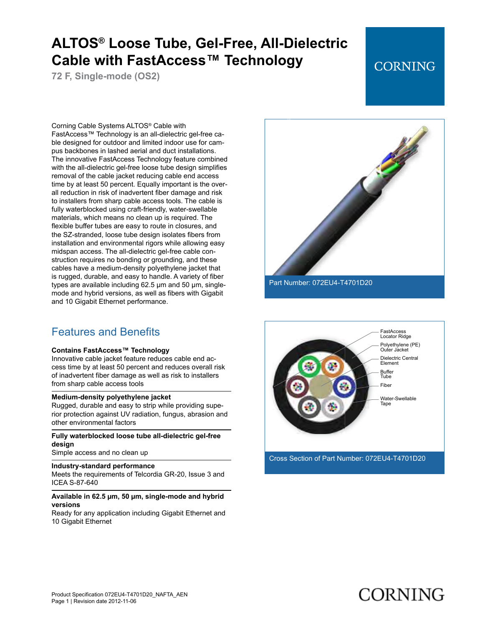**72 F, Single-mode (OS2)**

## **CORNING**

Corning Cable Systems ALTOS® Cable with FastAccess™ Technology is an all-dielectric gel-free cable designed for outdoor and limited indoor use for campus backbones in lashed aerial and duct installations. The innovative FastAccess Technology feature combined with the all-dielectric gel-free loose tube design simplifies removal of the cable jacket reducing cable end access time by at least 50 percent. Equally important is the overall reduction in risk of inadvertent fiber damage and risk to installers from sharp cable access tools. The cable is fully waterblocked using craft-friendly, water-swellable materials, which means no clean up is required. The flexible buffer tubes are easy to route in closures, and the SZ-stranded, loose tube design isolates fibers from installation and environmental rigors while allowing easy midspan access. The all-dielectric gel-free cable construction requires no bonding or grounding, and these cables have a medium-density polyethylene jacket that is rugged, durable, and easy to handle. A variety of fiber types are available including 62.5 µm and 50 µm, singlemode and hybrid versions, as well as fibers with Gigabit and 10 Gigabit Ethernet performance.

### Features and Benefits

#### **Contains FastAccess™ Technology**

Innovative cable jacket feature reduces cable end access time by at least 50 percent and reduces overall risk of inadvertent fiber damage as well as risk to installers from sharp cable access tools

#### **Medium-density polyethylene jacket**

Rugged, durable and easy to strip while providing superior protection against UV radiation, fungus, abrasion and other environmental factors

### **Fully waterblocked loose tube all-dielectric gel-free design**

Simple access and no clean up

#### **Industry-standard performance**

Meets the requirements of Telcordia GR-20, Issue 3 and ICEA S-87-640

#### **Available in 62.5 µm, 50 µm, single-mode and hybrid versions**

Ready for any application including Gigabit Ethernet and 10 Gigabit Ethernet



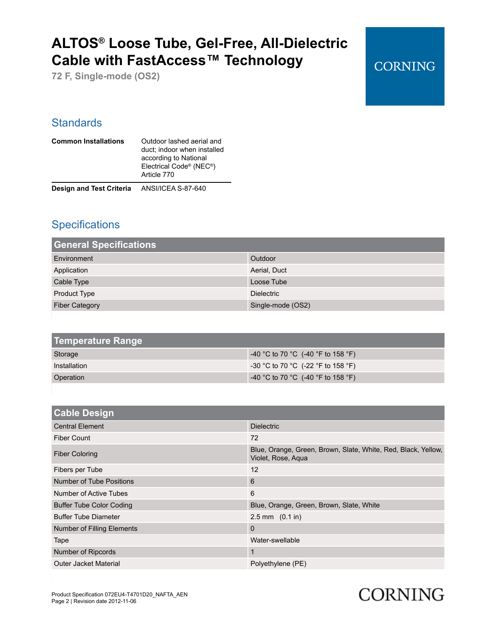**72 F, Single-mode (OS2)**

## **CORNING**

### **Standards**

| <b>Common Installations</b>                        | Outdoor lashed aerial and<br>duct; indoor when installed<br>according to National<br>Electrical Code® (NEC®)<br>Article 770 |
|----------------------------------------------------|-----------------------------------------------------------------------------------------------------------------------------|
| <b>Design and Test Criteria</b> ANSI/ICEA S-87-640 |                                                                                                                             |

### **Specifications**

| <b>General Specifications</b> |                   |
|-------------------------------|-------------------|
| Environment                   | Outdoor           |
| Application                   | Aerial, Duct      |
| Cable Type                    | Loose Tube        |
| Product Type                  | <b>Dielectric</b> |
| <b>Fiber Category</b>         | Single-mode (OS2) |

| Temperature Range |                                      |
|-------------------|--------------------------------------|
| Storage           | $-40$ °C to 70 °C (-40 °F to 158 °F) |
| Installation      | $-30$ °C to 70 °C (-22 °F to 158 °F) |
| Operation         | $-40$ °C to 70 °C (-40 °F to 158 °F) |

| <b>Cable Design</b>             |                                                                                     |
|---------------------------------|-------------------------------------------------------------------------------------|
| <b>Central Element</b>          | <b>Dielectric</b>                                                                   |
| Fiber Count                     | 72                                                                                  |
| <b>Fiber Coloring</b>           | Blue, Orange, Green, Brown, Slate, White, Red, Black, Yellow,<br>Violet, Rose, Agua |
| Fibers per Tube                 | 12                                                                                  |
| <b>Number of Tube Positions</b> | 6                                                                                   |
| Number of Active Tubes          | 6                                                                                   |
| <b>Buffer Tube Color Coding</b> | Blue, Orange, Green, Brown, Slate, White                                            |
| <b>Buffer Tube Diameter</b>     | $2.5$ mm $(0.1$ in)                                                                 |
| Number of Filling Elements      | $\mathbf{0}$                                                                        |
| Tape                            | Water-swellable                                                                     |
| Number of Ripcords              | 1                                                                                   |
| Outer Jacket Material           | Polyethylene (PE)                                                                   |

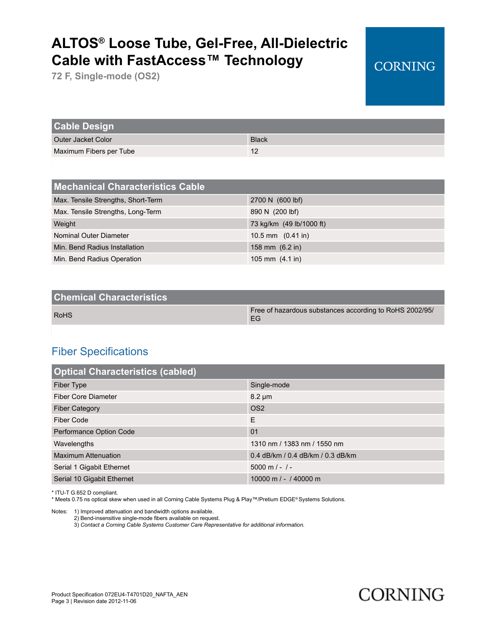**72 F, Single-mode (OS2)**

| <b>Cable Design</b>     |              |
|-------------------------|--------------|
| Outer Jacket Color      | <b>Black</b> |
| Maximum Fibers per Tube | 12           |

| <b>Mechanical Characteristics Cable</b> |                             |
|-----------------------------------------|-----------------------------|
| Max. Tensile Strengths, Short-Term      | 2700 N (600 lbf)            |
| Max. Tensile Strengths, Long-Term       | 890 N (200 lbf)             |
| Weight                                  | 73 kg/km (49 lb/1000 ft)    |
| Nominal Outer Diameter                  | 10.5 mm $(0.41 \text{ in})$ |
| Min. Bend Radius Installation           | 158 mm $(6.2 \text{ in})$   |
| Min. Bend Radius Operation              | 105 mm $(4.1 \text{ in})$   |

| <b>Chemical Characteristics</b> |                                                               |
|---------------------------------|---------------------------------------------------------------|
| <b>RoHS</b>                     | Free of hazardous substances according to RoHS 2002/95/<br>EG |

### Fiber Specifications

| <b>Optical Characteristics (cabled)</b> |                                   |
|-----------------------------------------|-----------------------------------|
| Fiber Type                              | Single-mode                       |
| Fiber Core Diameter                     | $8.2 \mu m$                       |
| <b>Fiber Category</b>                   | OS <sub>2</sub>                   |
| Fiber Code                              | E                                 |
| Performance Option Code                 | 01                                |
| Wavelengths                             | 1310 nm / 1383 nm / 1550 nm       |
| <b>Maximum Attenuation</b>              | 0.4 dB/km / 0.4 dB/km / 0.3 dB/km |
| Serial 1 Gigabit Ethernet               | $5000$ m $/ - / -$                |
| Serial 10 Gigabit Ethernet              | 10000 m $/$ - $/$ 40000 m         |

\* ITU-T G.652 D compliant.

\* Meets 0.75 ns optical skew when used in all Corning Cable Systems Plug & Play™/Pretium EDGE® Systems Solutions.

Notes: 1) Improved attenuation and bandwidth options available.

2) Bend-insensitive single-mode fibers available on request.

3) *Contact a Corning Cable Systems Customer Care Representative for additional information.*



**CORNING**